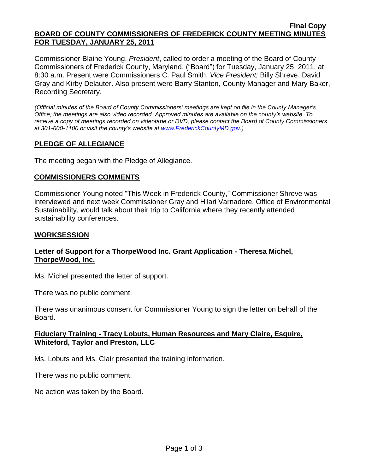#### **Final Copy BOARD OF COUNTY COMMISSIONERS OF FREDERICK COUNTY MEETING MINUTES FOR TUESDAY, JANUARY 25, 2011**

Commissioner Blaine Young, *President*, called to order a meeting of the Board of County Commissioners of Frederick County, Maryland, ("Board") for Tuesday, January 25, 2011, at 8:30 a.m. Present were Commissioners C. Paul Smith, *Vice President;* Billy Shreve, David Gray and Kirby Delauter. Also present were Barry Stanton, County Manager and Mary Baker, Recording Secretary.

*(Official minutes of the Board of County Commissioners' meetings are kept on file in the County Manager's Office; the meetings are also video recorded. Approved minutes are available on the county's website. To receive a copy of meetings recorded on videotape or DVD, please contact the Board of County Commissioners at 301-600-1100 or visit the county's website at [www.FrederickCountyMD.gov.](http://www.frederickcountymd.gov/))*

# **PLEDGE OF ALLEGIANCE**

The meeting began with the Pledge of Allegiance.

## **COMMISSIONERS COMMENTS**

Commissioner Young noted "This Week in Frederick County," Commissioner Shreve was interviewed and next week Commissioner Gray and Hilari Varnadore, Office of Environmental Sustainability, would talk about their trip to California where they recently attended sustainability conferences.

#### **WORKSESSION**

# **Letter of Support for a ThorpeWood Inc. Grant Application - Theresa Michel, ThorpeWood, Inc.**

Ms. Michel presented the letter of support.

There was no public comment.

There was unanimous consent for Commissioner Young to sign the letter on behalf of the Board.

## **Fiduciary Training - Tracy Lobuts, Human Resources and Mary Claire, Esquire, Whiteford, Taylor and Preston, LLC**

Ms. Lobuts and Ms. Clair presented the training information.

There was no public comment.

No action was taken by the Board.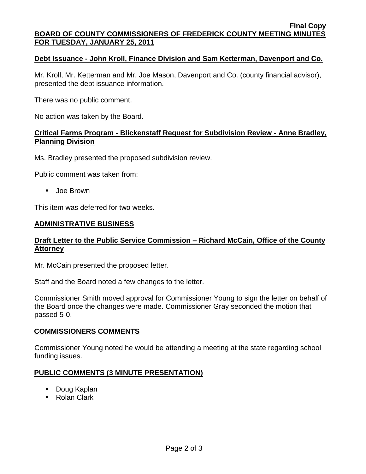#### **Final Copy BOARD OF COUNTY COMMISSIONERS OF FREDERICK COUNTY MEETING MINUTES FOR TUESDAY, JANUARY 25, 2011**

#### **Debt Issuance - John Kroll, Finance Division and Sam Ketterman, Davenport and Co.**

Mr. Kroll, Mr. Ketterman and Mr. Joe Mason, Davenport and Co. (county financial advisor), presented the debt issuance information.

There was no public comment.

No action was taken by the Board.

#### **Critical Farms Program - Blickenstaff Request for Subdivision Review - Anne Bradley, Planning Division**

Ms. Bradley presented the proposed subdivision review.

Public comment was taken from:

**Joe Brown** 

This item was deferred for two weeks.

#### **ADMINISTRATIVE BUSINESS**

## **Draft Letter to the Public Service Commission – Richard McCain, Office of the County Attorney**

Mr. McCain presented the proposed letter.

Staff and the Board noted a few changes to the letter.

Commissioner Smith moved approval for Commissioner Young to sign the letter on behalf of the Board once the changes were made. Commissioner Gray seconded the motion that passed 5-0.

#### **COMMISSIONERS COMMENTS**

Commissioner Young noted he would be attending a meeting at the state regarding school funding issues.

## **PUBLIC COMMENTS (3 MINUTE PRESENTATION)**

- Doug Kaplan
- Rolan Clark